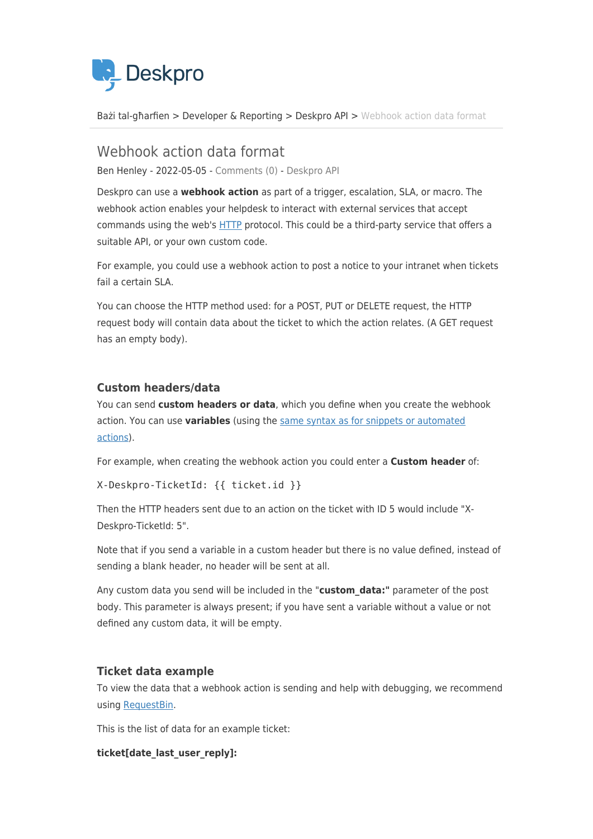

[Bażi tal-għarfien](https://support.deskpro.com/mt-MT/kb) > [Developer & Reporting](https://support.deskpro.com/mt-MT/kb/developer-reporting) > [Deskpro API](https://support.deskpro.com/mt-MT/kb/deskpro-api) > [Webhook action data format](https://support.deskpro.com/mt-MT/kb/articles/web-hook-action-data-format)

## Webhook action data format Ben Henley - 2022-05-05 - [Comments \(0\)](#page--1-0) - [Deskpro API](https://support.deskpro.com/mt-MT/kb/deskpro-api)

Deskpro can use a **webhook action** as part of a trigger, escalation, SLA, or macro. The webhook action enables your helpdesk to interact with external services that accept commands using the web's [HTTP](http://en.wikipedia.org/wiki/Hypertext_Transfer_Protocol) protocol. This could be a third-party service that offers a suitable API, or your own custom code.

For example, you could use a webhook action to post a notice to your intranet when tickets fail a certain SLA.

You can choose the HTTP method used: for a POST, PUT or DELETE request, the HTTP request body will contain data about the ticket to which the action relates. (A GET request has an empty body).

## **Custom headers/data**

You can send **custom headers or data**, which you define when you create the webhook action. You can use **variables** (using the [same syntax as for snippets or automated](https://support.deskpro.com/kb/articles/133) [actions](https://support.deskpro.com/kb/articles/133)).

For example, when creating the webhook action you could enter a **Custom header** of:

```
X-Deskpro-TicketId: {{ ticket.id }}
```
Then the HTTP headers sent due to an action on the ticket with ID 5 would include "X-Deskpro-TicketId: 5".

Note that if you send a variable in a custom header but there is no value defined, instead of sending a blank header, no header will be sent at all.

Any custom data you send will be included in the "**custom\_data:"** parameter of the post body. This parameter is always present; if you have sent a variable without a value or not defined any custom data, it will be empty.

## **Ticket data example**

To view the data that a webhook action is sending and help with debugging, we recommend using [RequestBin](http://requestb.in/).

This is the list of data for an example ticket:

**ticket[date\_last\_user\_reply]:**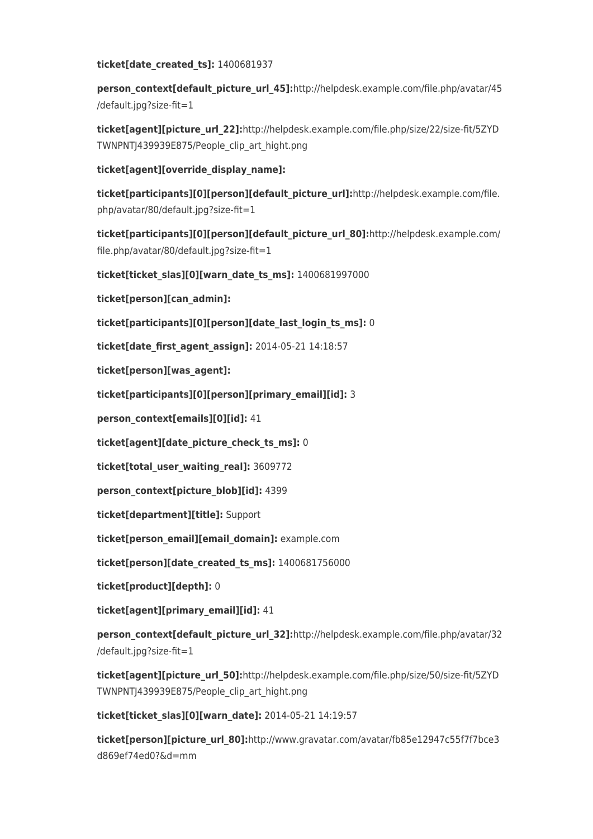#### **ticket[date\_created\_ts]:** 1400681937

**person\_context[default\_picture\_url\_45]:**http://helpdesk.example.com/file.php/avatar/45 /default.jpg?size-fit=1

**ticket[agent][picture\_url\_22]:**http://helpdesk.example.com/file.php/size/22/size-fit/5ZYD TWNPNTJ439939E875/People\_clip\_art\_hight.png

**ticket[agent][override\_display\_name]:**

**ticket[participants][0][person][default\_picture\_url]:**http://helpdesk.example.com/file. php/avatar/80/default.jpg?size-fit=1

**ticket[participants][0][person][default\_picture\_url\_80]:**http://helpdesk.example.com/ file.php/avatar/80/default.jpg?size-fit=1

**ticket[ticket\_slas][0][warn\_date\_ts\_ms]:** 1400681997000

**ticket[person][can\_admin]:**

**ticket[participants][0][person][date\_last\_login\_ts\_ms]:** 0

**ticket[date\_first\_agent\_assign]:** 2014-05-21 14:18:57

**ticket[person][was\_agent]:**

**ticket[participants][0][person][primary\_email][id]:** 3

**person\_context[emails][0][id]:** 41

**ticket[agent][date\_picture\_check\_ts\_ms]:** 0

**ticket[total\_user\_waiting\_real]:** 3609772

**person\_context[picture\_blob][id]:** 4399

**ticket[department][title]:** Support

**ticket[person\_email][email\_domain]:** example.com

**ticket[person][date\_created\_ts\_ms]:** 1400681756000

**ticket[product][depth]:** 0

**ticket[agent][primary\_email][id]:** 41

**person\_context[default\_picture\_url\_32]:**http://helpdesk.example.com/file.php/avatar/32 /default.jpg?size-fit=1

**ticket[agent][picture\_url\_50]:**http://helpdesk.example.com/file.php/size/50/size-fit/5ZYD TWNPNTJ439939E875/People\_clip\_art\_hight.png

**ticket[ticket\_slas][0][warn\_date]:** 2014-05-21 14:19:57

**ticket[person][picture\_url\_80]:**http://www.gravatar.com/avatar/fb85e12947c55f7f7bce3 d869ef74ed0?&d=mm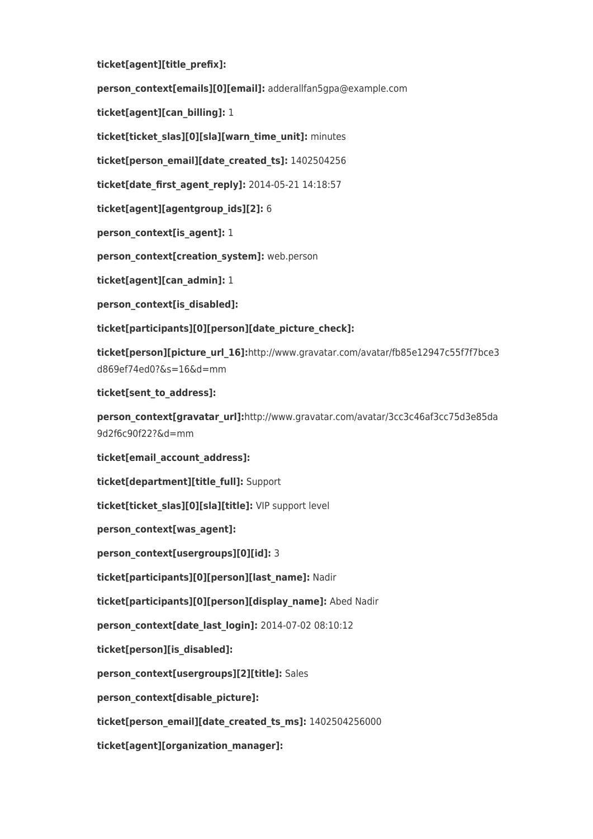**ticket[agent][title\_prefix]:**

**person\_context[emails][0][email]:** adderallfan5gpa@example.com

**ticket[agent][can\_billing]:** 1

**ticket[ticket\_slas][0][sla][warn\_time\_unit]:** minutes

**ticket[person\_email][date\_created\_ts]:** 1402504256

**ticket[date\_first\_agent\_reply]:** 2014-05-21 14:18:57

**ticket[agent][agentgroup\_ids][2]:** 6

**person\_context[is\_agent]:** 1

**person\_context[creation\_system]:** web.person

**ticket[agent][can\_admin]:** 1

**person\_context[is\_disabled]:**

**ticket[participants][0][person][date\_picture\_check]:**

**ticket[person][picture\_url\_16]:**http://www.gravatar.com/avatar/fb85e12947c55f7f7bce3 d869ef74ed0?&s=16&d=mm

**ticket[sent\_to\_address]:**

**person\_context[gravatar\_url]:**http://www.gravatar.com/avatar/3cc3c46af3cc75d3e85da 9d2f6c90f22?&d=mm

**ticket[email\_account\_address]:**

**ticket[department][title\_full]:** Support

**ticket[ticket\_slas][0][sla][title]:** VIP support level

**person\_context[was\_agent]:**

**person\_context[usergroups][0][id]:** 3

**ticket[participants][0][person][last\_name]:** Nadir

**ticket[participants][0][person][display\_name]:** Abed Nadir

**person\_context[date\_last\_login]:** 2014-07-02 08:10:12

**ticket[person][is\_disabled]:**

**person\_context[usergroups][2][title]:** Sales

**person\_context[disable\_picture]:**

**ticket[person\_email][date\_created\_ts\_ms]:** 1402504256000

**ticket[agent][organization\_manager]:**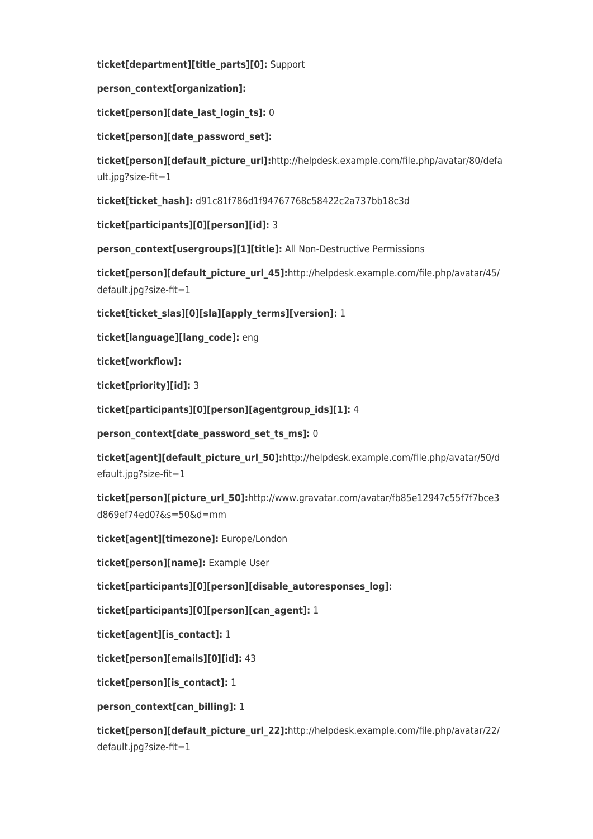**ticket[department][title\_parts][0]:** Support

**person\_context[organization]:**

**ticket[person][date\_last\_login\_ts]:** 0

**ticket[person][date\_password\_set]:**

**ticket[person][default\_picture\_url]:**http://helpdesk.example.com/file.php/avatar/80/defa ult.jpg?size-fit=1

**ticket[ticket\_hash]:** d91c81f786d1f94767768c58422c2a737bb18c3d

**ticket[participants][0][person][id]:** 3

person\_context[usergroups][1][title]: All Non-Destructive Permissions

**ticket[person][default\_picture\_url\_45]:**http://helpdesk.example.com/file.php/avatar/45/ default.jpg?size-fit=1

**ticket[ticket\_slas][0][sla][apply\_terms][version]:** 1

**ticket[language][lang\_code]:** eng

**ticket[workflow]:**

**ticket[priority][id]:** 3

**ticket[participants][0][person][agentgroup\_ids][1]:** 4

**person\_context[date\_password\_set\_ts\_ms]:** 0

**ticket[agent][default\_picture\_url\_50]:**http://helpdesk.example.com/file.php/avatar/50/d efault.jpg?size-fit=1

**ticket[person][picture\_url\_50]:**http://www.gravatar.com/avatar/fb85e12947c55f7f7bce3 d869ef74ed0?&s=50&d=mm

**ticket[agent][timezone]:** Europe/London

**ticket[person][name]:** Example User

**ticket[participants][0][person][disable\_autoresponses\_log]:**

**ticket[participants][0][person][can\_agent]:** 1

**ticket[agent][is\_contact]:** 1

**ticket[person][emails][0][id]:** 43

**ticket[person][is\_contact]:** 1

**person\_context[can\_billing]:** 1

**ticket[person][default\_picture\_url\_22]:**http://helpdesk.example.com/file.php/avatar/22/ default.jpg?size-fit=1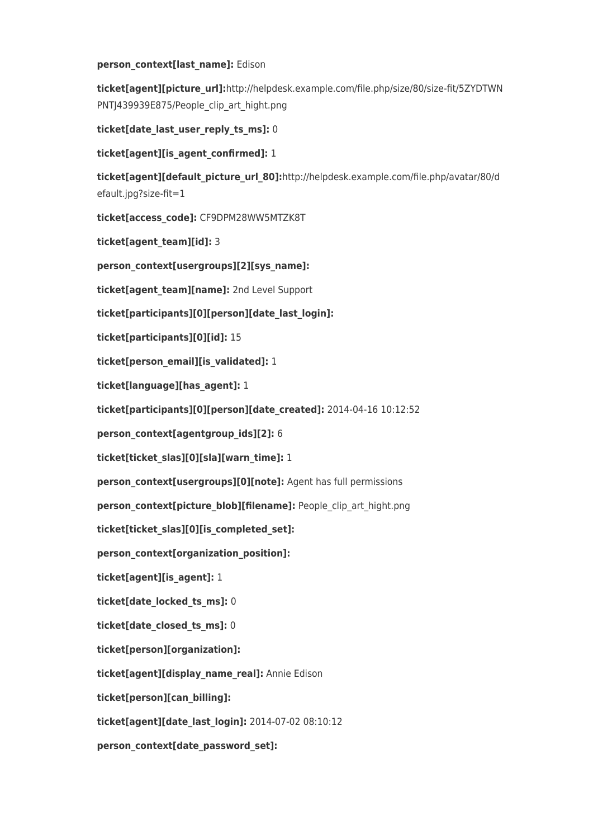#### person context[last name]: Edison

**ticket[agent][picture\_url]:**http://helpdesk.example.com/file.php/size/80/size-fit/5ZYDTWN PNTJ439939E875/People\_clip\_art\_hight.png

**ticket[date\_last\_user\_reply\_ts\_ms]:** 0

**ticket[agent][is\_agent\_confirmed]:** 1

**ticket[agent][default\_picture\_url\_80]:**http://helpdesk.example.com/file.php/avatar/80/d efault.jpg?size-fit=1

**ticket[access\_code]:** CF9DPM28WW5MTZK8T

**ticket[agent\_team][id]:** 3

**person\_context[usergroups][2][sys\_name]:**

**ticket[agent\_team][name]:** 2nd Level Support

**ticket[participants][0][person][date\_last\_login]:**

**ticket[participants][0][id]:** 15

**ticket[person\_email][is\_validated]:** 1

**ticket[language][has\_agent]:** 1

**ticket[participants][0][person][date\_created]:** 2014-04-16 10:12:52

**person\_context[agentgroup\_ids][2]:** 6

**ticket[ticket\_slas][0][sla][warn\_time]:** 1

**person\_context[usergroups][0][note]:** Agent has full permissions

**person\_context[picture\_blob][filename]:** People\_clip\_art\_hight.png

**ticket[ticket\_slas][0][is\_completed\_set]:**

**person\_context[organization\_position]:**

**ticket[agent][is\_agent]:** 1

**ticket[date\_locked\_ts\_ms]:** 0

**ticket[date\_closed\_ts\_ms]:** 0

**ticket[person][organization]:**

**ticket[agent][display\_name\_real]:** Annie Edison

**ticket[person][can\_billing]:**

**ticket[agent][date\_last\_login]:** 2014-07-02 08:10:12

**person\_context[date\_password\_set]:**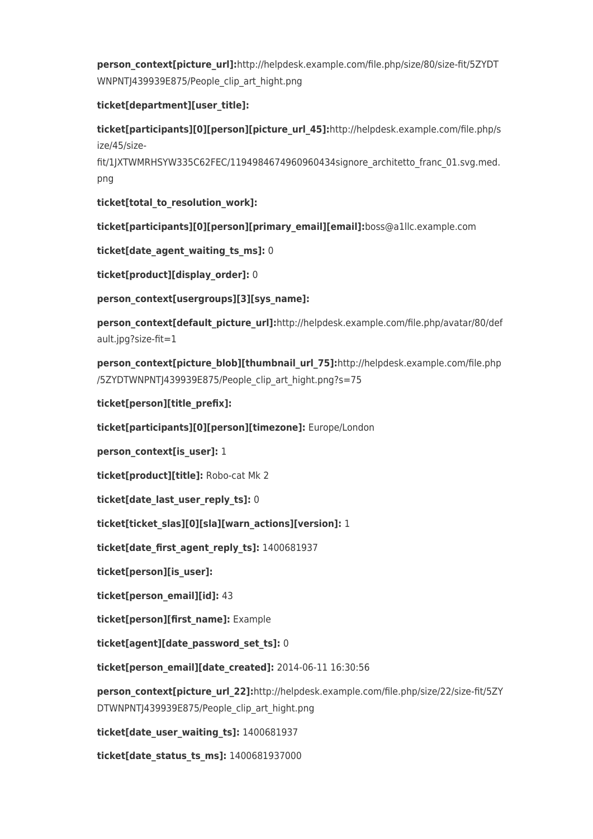**person\_context[picture\_url]:**http://helpdesk.example.com/file.php/size/80/size-fit/5ZYDT WNPNTJ439939E875/People\_clip\_art\_hight.png

## **ticket[department][user\_title]:**

**ticket[participants][0][person][picture\_url\_45]:**http://helpdesk.example.com/file.php/s ize/45/size-

fit/1JXTWMRHSYW335C62FEC/1194984674960960434signore\_architetto\_franc\_01.svg.med. png

**ticket[total\_to\_resolution\_work]:**

**ticket[participants][0][person][primary\_email][email]:**boss@a1llc.example.com

**ticket[date\_agent\_waiting\_ts\_ms]:** 0

**ticket[product][display\_order]:** 0

**person\_context[usergroups][3][sys\_name]:**

**person\_context[default\_picture\_url]:**http://helpdesk.example.com/file.php/avatar/80/def ault.jpg?size-fit=1

**person\_context[picture\_blob][thumbnail\_url\_75]:**http://helpdesk.example.com/file.php /5ZYDTWNPNTJ439939E875/People\_clip\_art\_hight.png?s=75

**ticket[person][title\_prefix]:**

**ticket[participants][0][person][timezone]:** Europe/London

**person\_context[is\_user]:** 1

**ticket[product][title]:** Robo-cat Mk 2

**ticket[date\_last\_user\_reply\_ts]:** 0

**ticket[ticket\_slas][0][sla][warn\_actions][version]:** 1

**ticket[date\_first\_agent\_reply\_ts]:** 1400681937

**ticket[person][is\_user]:**

**ticket[person\_email][id]:** 43

**ticket[person][first\_name]:** Example

**ticket[agent][date\_password\_set\_ts]:** 0

**ticket[person\_email][date\_created]:** 2014-06-11 16:30:56

**person\_context[picture\_url\_22]:**http://helpdesk.example.com/file.php/size/22/size-fit/5ZY DTWNPNTJ439939E875/People\_clip\_art\_hight.png

**ticket[date\_user\_waiting\_ts]:** 1400681937

**ticket[date\_status\_ts\_ms]:** 1400681937000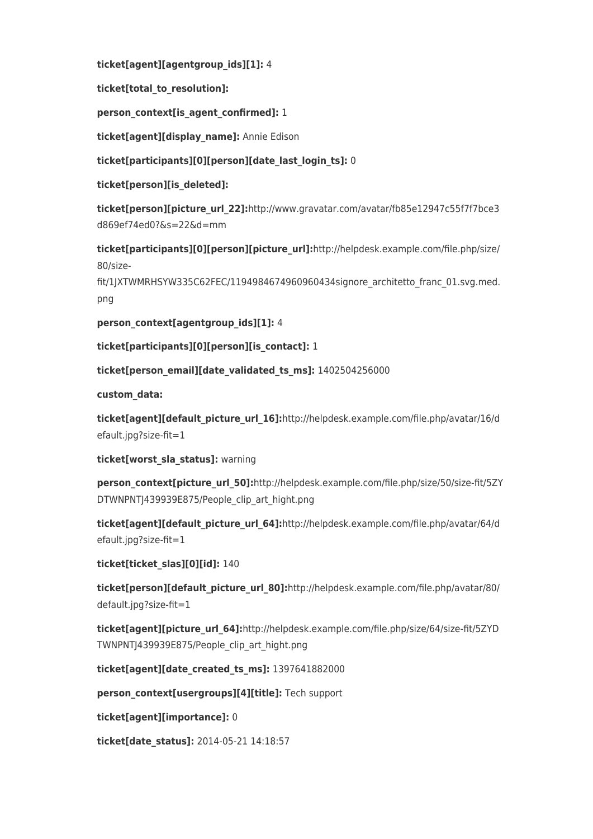**ticket[agent][agentgroup\_ids][1]:** 4

**ticket[total\_to\_resolution]:**

**person\_context[is\_agent\_confirmed]:** 1

**ticket[agent][display\_name]:** Annie Edison

**ticket[participants][0][person][date\_last\_login\_ts]:** 0

**ticket[person][is\_deleted]:**

**ticket[person][picture\_url\_22]:**http://www.gravatar.com/avatar/fb85e12947c55f7f7bce3 d869ef74ed0?&s=22&d=mm

**ticket[participants][0][person][picture\_url]:**http://helpdesk.example.com/file.php/size/ 80/size-

fit/1JXTWMRHSYW335C62FEC/1194984674960960434signore\_architetto\_franc\_01.svg.med. png

**person\_context[agentgroup\_ids][1]:** 4

**ticket[participants][0][person][is\_contact]:** 1

**ticket[person\_email][date\_validated\_ts\_ms]:** 1402504256000

**custom\_data:**

**ticket[agent][default\_picture\_url\_16]:**http://helpdesk.example.com/file.php/avatar/16/d efault.jpg?size-fit=1

**ticket[worst\_sla\_status]:** warning

**person\_context[picture\_url\_50]:**http://helpdesk.example.com/file.php/size/50/size-fit/5ZY DTWNPNTJ439939E875/People\_clip\_art\_hight.png

**ticket[agent][default\_picture\_url\_64]:**http://helpdesk.example.com/file.php/avatar/64/d efault.jpg?size-fit=1

**ticket[ticket\_slas][0][id]:** 140

**ticket[person][default\_picture\_url\_80]:**http://helpdesk.example.com/file.php/avatar/80/ default.jpg?size-fit=1

**ticket[agent][picture\_url\_64]:**http://helpdesk.example.com/file.php/size/64/size-fit/5ZYD TWNPNTJ439939E875/People\_clip\_art\_hight.png

**ticket[agent][date\_created\_ts\_ms]:** 1397641882000

**person\_context[usergroups][4][title]:** Tech support

**ticket[agent][importance]:** 0

**ticket[date\_status]:** 2014-05-21 14:18:57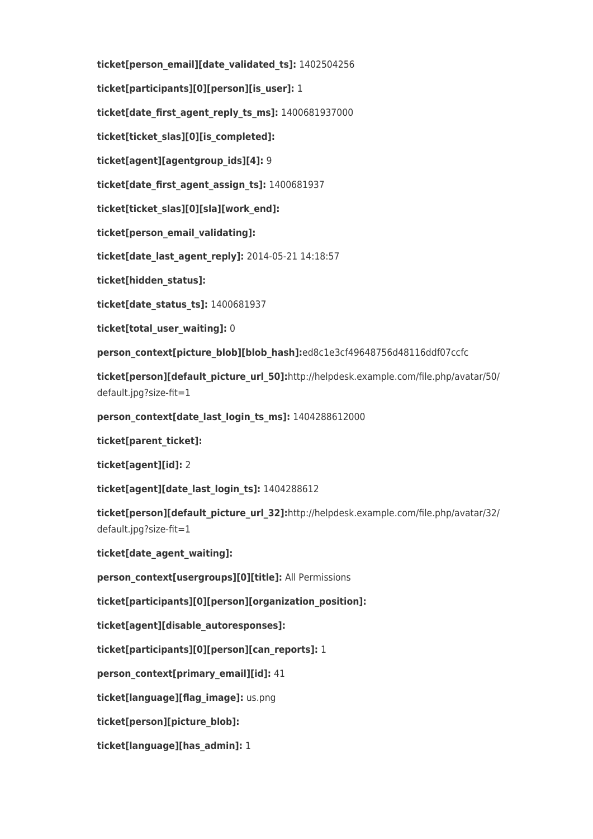**ticket[person\_email][date\_validated\_ts]:** 1402504256 **ticket[participants][0][person][is\_user]:** 1 **ticket[date\_first\_agent\_reply\_ts\_ms]:** 1400681937000 **ticket[ticket\_slas][0][is\_completed]: ticket[agent][agentgroup\_ids][4]:** 9 **ticket[date\_first\_agent\_assign\_ts]:** 1400681937 **ticket[ticket\_slas][0][sla][work\_end]: ticket[person\_email\_validating]: ticket[date\_last\_agent\_reply]:** 2014-05-21 14:18:57 **ticket[hidden\_status]: ticket[date\_status\_ts]:** 1400681937 **ticket[total\_user\_waiting]:** 0 **person\_context[picture\_blob][blob\_hash]:**ed8c1e3cf49648756d48116ddf07ccfc **ticket[person][default\_picture\_url\_50]:**http://helpdesk.example.com/file.php/avatar/50/ default.jpg?size-fit=1 **person\_context[date\_last\_login\_ts\_ms]:** 1404288612000 **ticket[parent\_ticket]: ticket[agent][id]:** 2 **ticket[agent][date\_last\_login\_ts]:** 1404288612 **ticket[person][default\_picture\_url\_32]:**http://helpdesk.example.com/file.php/avatar/32/ default.jpg?size-fit=1 **ticket[date\_agent\_waiting]: person\_context[usergroups][0][title]:** All Permissions **ticket[participants][0][person][organization\_position]: ticket[agent][disable\_autoresponses]: ticket[participants][0][person][can\_reports]:** 1

**person\_context[primary\_email][id]:** 41

**ticket[language][flag\_image]:** us.png

**ticket[person][picture\_blob]:**

**ticket[language][has\_admin]:** 1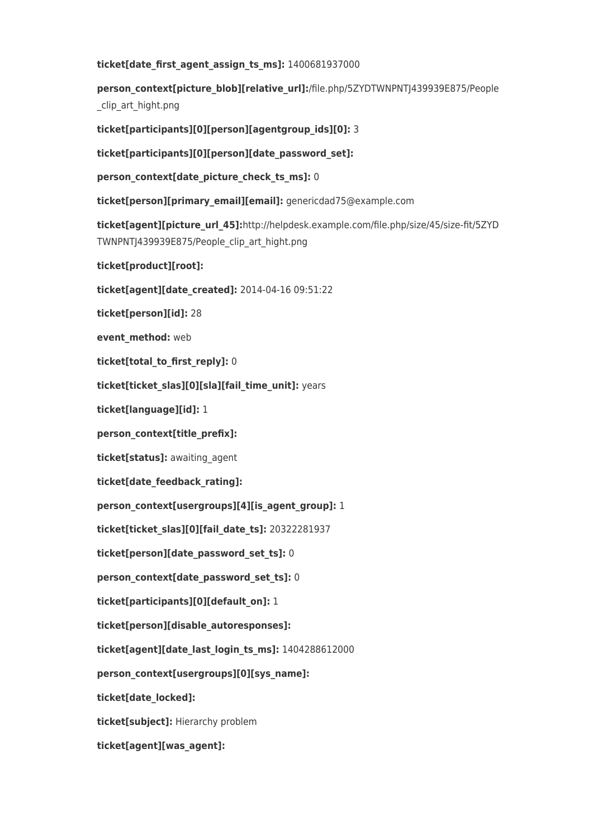#### **ticket[date\_first\_agent\_assign\_ts\_ms]:** 1400681937000

person\_context[picture\_blob][relative\_url]:/file.php/5ZYDTWNPNTJ439939E875/People clip\_art\_hight.png

**ticket[participants][0][person][agentgroup\_ids][0]:** 3

**ticket[participants][0][person][date\_password\_set]:**

**person\_context[date\_picture\_check\_ts\_ms]:** 0

**ticket[person][primary\_email][email]:** genericdad75@example.com

**ticket[agent][picture\_url\_45]:**http://helpdesk.example.com/file.php/size/45/size-fit/5ZYD TWNPNTJ439939E875/People\_clip\_art\_hight.png

**ticket[product][root]:**

**ticket[agent][date\_created]:** 2014-04-16 09:51:22

**ticket[person][id]:** 28

**event\_method:** web

**ticket[total\_to\_first\_reply]:** 0

**ticket[ticket\_slas][0][sla][fail\_time\_unit]:** years

**ticket[language][id]:** 1

**person\_context[title\_prefix]:**

**ticket[status]:** awaiting\_agent

**ticket[date\_feedback\_rating]:**

**person\_context[usergroups][4][is\_agent\_group]:** 1

**ticket[ticket\_slas][0][fail\_date\_ts]:** 20322281937

**ticket[person][date\_password\_set\_ts]:** 0

**person\_context[date\_password\_set\_ts]:** 0

**ticket[participants][0][default\_on]:** 1

**ticket[person][disable\_autoresponses]:**

**ticket[agent][date\_last\_login\_ts\_ms]:** 1404288612000

**person\_context[usergroups][0][sys\_name]:**

**ticket[date\_locked]:**

**ticket[subject]:** Hierarchy problem

**ticket[agent][was\_agent]:**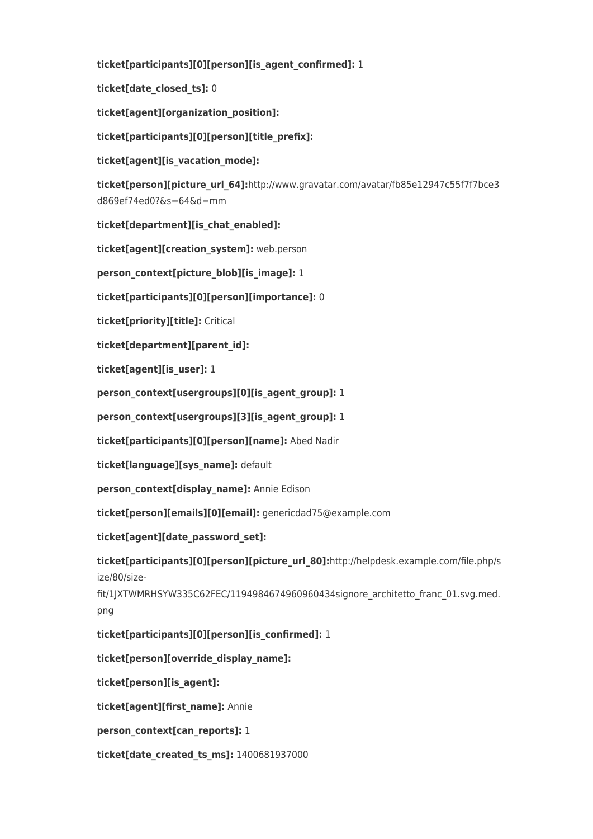**ticket[participants][0][person][is\_agent\_confirmed]:** 1

**ticket[date\_closed\_ts]:** 0

**ticket[agent][organization\_position]:**

**ticket[participants][0][person][title\_prefix]:**

**ticket[agent][is\_vacation\_mode]:**

**ticket[person][picture\_url\_64]:**http://www.gravatar.com/avatar/fb85e12947c55f7f7bce3 d869ef74ed0?&s=64&d=mm

**ticket[department][is\_chat\_enabled]:**

**ticket[agent][creation\_system]:** web.person

**person\_context[picture\_blob][is\_image]:** 1

**ticket[participants][0][person][importance]:** 0

**ticket[priority][title]:** Critical

**ticket[department][parent\_id]:**

**ticket[agent][is\_user]:** 1

**person\_context[usergroups][0][is\_agent\_group]:** 1

**person\_context[usergroups][3][is\_agent\_group]:** 1

**ticket[participants][0][person][name]:** Abed Nadir

**ticket[language][sys\_name]:** default

person context[display name]: Annie Edison

**ticket[person][emails][0][email]:** genericdad75@example.com

**ticket[agent][date\_password\_set]:**

**ticket[participants][0][person][picture\_url\_80]:**http://helpdesk.example.com/file.php/s ize/80/size-

fit/1JXTWMRHSYW335C62FEC/1194984674960960434signore\_architetto\_franc\_01.svg.med. png

**ticket[participants][0][person][is\_confirmed]:** 1

**ticket[person][override\_display\_name]:**

**ticket[person][is\_agent]:**

**ticket[agent][first\_name]:** Annie

**person\_context[can\_reports]:** 1

**ticket[date\_created\_ts\_ms]:** 1400681937000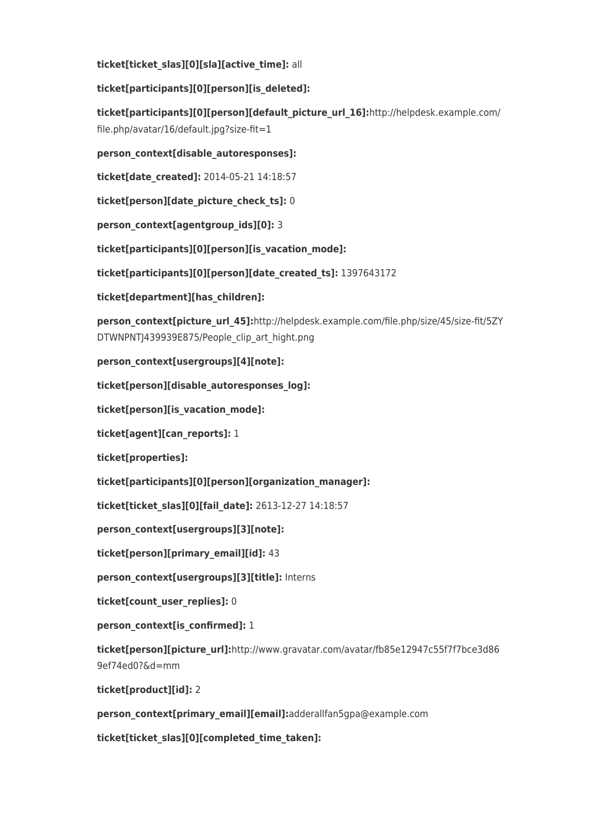**ticket[ticket\_slas][0][sla][active\_time]:** all

**ticket[participants][0][person][is\_deleted]:**

**ticket[participants][0][person][default\_picture\_url\_16]:**http://helpdesk.example.com/ file.php/avatar/16/default.jpg?size-fit=1

**person\_context[disable\_autoresponses]:**

**ticket[date\_created]:** 2014-05-21 14:18:57

**ticket[person][date\_picture\_check\_ts]:** 0

**person\_context[agentgroup\_ids][0]:** 3

**ticket[participants][0][person][is\_vacation\_mode]:**

**ticket[participants][0][person][date\_created\_ts]:** 1397643172

**ticket[department][has\_children]:**

person context[picture url 45]:http://helpdesk.example.com/file.php/size/45/size-fit/5ZY DTWNPNTJ439939E875/People\_clip\_art\_hight.png

**person\_context[usergroups][4][note]:**

**ticket[person][disable\_autoresponses\_log]:**

**ticket[person][is\_vacation\_mode]:**

**ticket[agent][can\_reports]:** 1

**ticket[properties]:**

**ticket[participants][0][person][organization\_manager]:**

**ticket[ticket\_slas][0][fail\_date]:** 2613-12-27 14:18:57

**person\_context[usergroups][3][note]:**

**ticket[person][primary\_email][id]:** 43

**person\_context[usergroups][3][title]:** Interns

**ticket[count\_user\_replies]:** 0

**person\_context[is\_confirmed]:** 1

**ticket[person][picture\_url]:**http://www.gravatar.com/avatar/fb85e12947c55f7f7bce3d86 9ef74ed0?&d=mm

**ticket[product][id]:** 2

**person\_context[primary\_email][email]:**adderallfan5gpa@example.com

**ticket[ticket\_slas][0][completed\_time\_taken]:**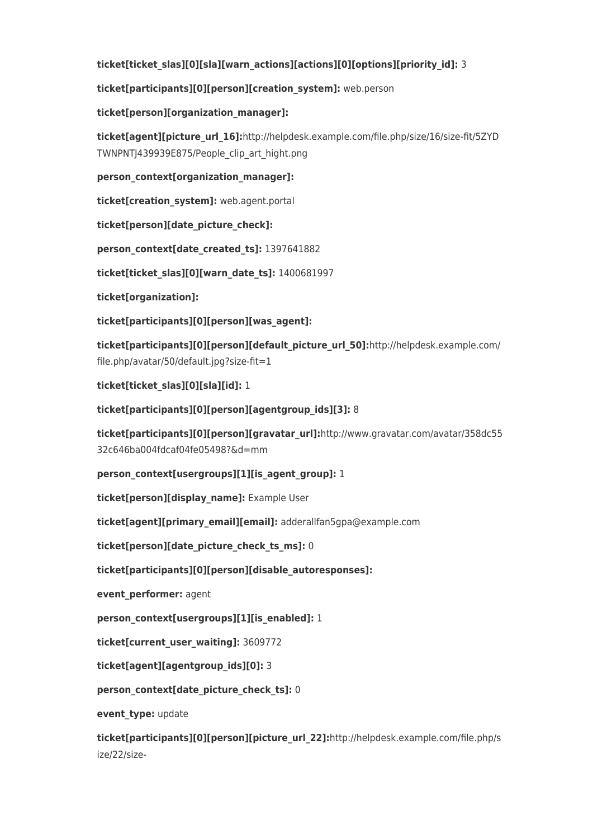## **ticket[ticket\_slas][0][sla][warn\_actions][actions][0][options][priority\_id]:** 3

## **ticket[participants][0][person][creation\_system]:** web.person

## **ticket[person][organization\_manager]:**

**ticket[agent][picture\_url\_16]:**http://helpdesk.example.com/file.php/size/16/size-fit/5ZYD TWNPNTJ439939E875/People\_clip\_art\_hight.png

**person\_context[organization\_manager]:**

**ticket[creation\_system]:** web.agent.portal

**ticket[person][date\_picture\_check]:**

**person\_context[date\_created\_ts]:** 1397641882

**ticket[ticket\_slas][0][warn\_date\_ts]:** 1400681997

**ticket[organization]:**

**ticket[participants][0][person][was\_agent]:**

**ticket[participants][0][person][default\_picture\_url\_50]:**http://helpdesk.example.com/ file.php/avatar/50/default.jpg?size-fit=1

**ticket[ticket\_slas][0][sla][id]:** 1

**ticket[participants][0][person][agentgroup\_ids][3]:** 8

**ticket[participants][0][person][gravatar\_url]:**http://www.gravatar.com/avatar/358dc55 32c646ba004fdcaf04fe05498?&d=mm

**person\_context[usergroups][1][is\_agent\_group]:** 1

**ticket[person][display\_name]:** Example User

**ticket[agent][primary\_email][email]:** adderallfan5gpa@example.com

**ticket[person][date\_picture\_check\_ts\_ms]:** 0

**ticket[participants][0][person][disable\_autoresponses]:**

**event\_performer:** agent

**person\_context[usergroups][1][is\_enabled]:** 1

**ticket[current\_user\_waiting]:** 3609772

**ticket[agent][agentgroup\_ids][0]:** 3

**person\_context[date\_picture\_check\_ts]:** 0

**event\_type:** update

**ticket[participants][0][person][picture\_url\_22]:**http://helpdesk.example.com/file.php/s ize/22/size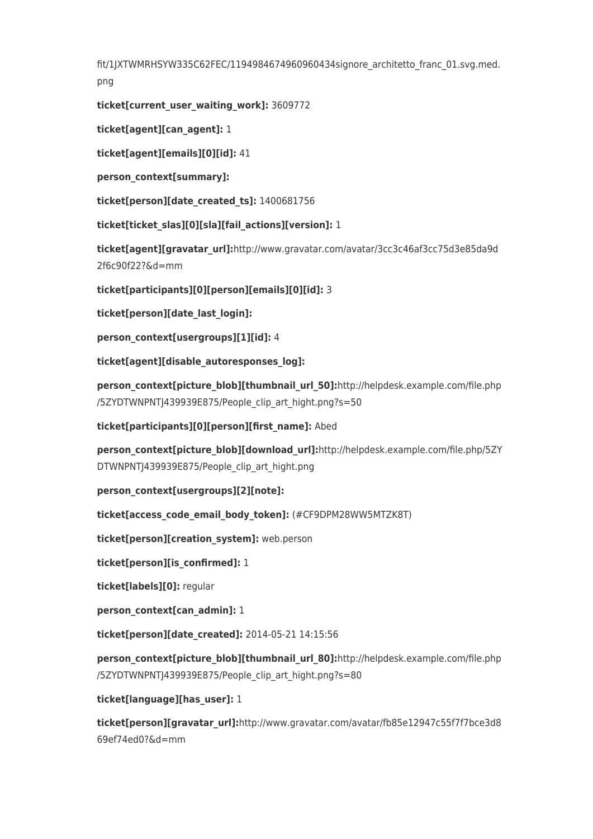fit/1JXTWMRHSYW335C62FEC/1194984674960960434signore\_architetto\_franc\_01.svg.med. png

**ticket[current\_user\_waiting\_work]:** 3609772

**ticket[agent][can\_agent]:** 1

**ticket[agent][emails][0][id]:** 41

**person\_context[summary]:**

**ticket[person][date\_created\_ts]:** 1400681756

**ticket[ticket\_slas][0][sla][fail\_actions][version]:** 1

**ticket[agent][gravatar\_url]:**http://www.gravatar.com/avatar/3cc3c46af3cc75d3e85da9d 2f6c90f22?&d=mm

**ticket[participants][0][person][emails][0][id]:** 3

**ticket[person][date\_last\_login]:**

**person\_context[usergroups][1][id]:** 4

**ticket[agent][disable\_autoresponses\_log]:**

**person\_context[picture\_blob][thumbnail\_url\_50]:**http://helpdesk.example.com/file.php /5ZYDTWNPNTJ439939E875/People\_clip\_art\_hight.png?s=50

**ticket[participants][0][person][first\_name]:** Abed

**person\_context[picture\_blob][download\_url]:**http://helpdesk.example.com/file.php/5ZY DTWNPNTJ439939E875/People\_clip\_art\_hight.png

**person\_context[usergroups][2][note]:**

**ticket[access\_code\_email\_body\_token]:** (#CF9DPM28WW5MTZK8T)

**ticket[person][creation\_system]:** web.person

**ticket[person][is\_confirmed]:** 1

**ticket[labels][0]:** regular

**person\_context[can\_admin]:** 1

**ticket[person][date\_created]:** 2014-05-21 14:15:56

**person\_context[picture\_blob][thumbnail\_url\_80]:**http://helpdesk.example.com/file.php /5ZYDTWNPNTJ439939E875/People\_clip\_art\_hight.png?s=80

**ticket[language][has\_user]:** 1

**ticket[person][gravatar\_url]:**http://www.gravatar.com/avatar/fb85e12947c55f7f7bce3d8 69ef74ed0?&d=mm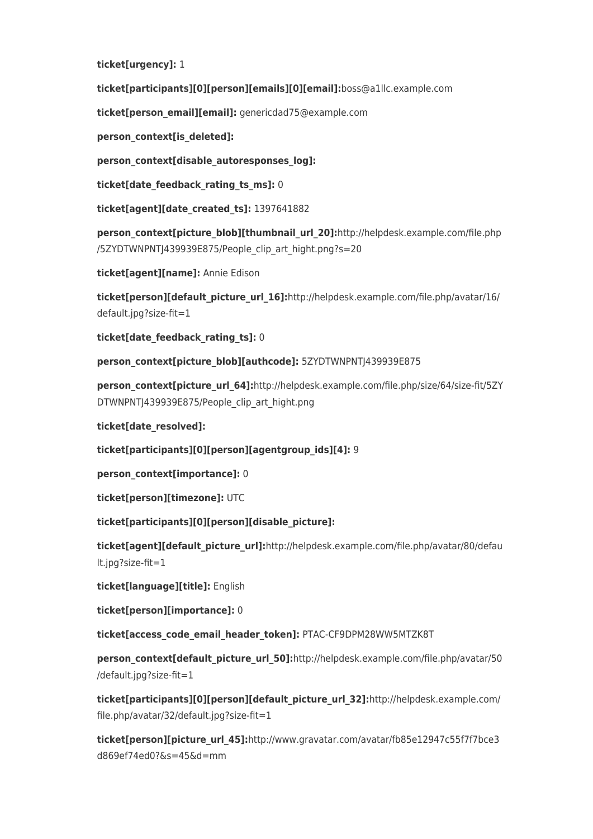**ticket[urgency]:** 1

**ticket[participants][0][person][emails][0][email]:**boss@a1llc.example.com

**ticket[person\_email][email]:** genericdad75@example.com

**person\_context[is\_deleted]:**

**person\_context[disable\_autoresponses\_log]:**

**ticket[date\_feedback\_rating\_ts\_ms]:** 0

**ticket[agent][date\_created\_ts]:** 1397641882

**person\_context[picture\_blob][thumbnail\_url\_20]:**http://helpdesk.example.com/file.php /5ZYDTWNPNTJ439939E875/People\_clip\_art\_hight.png?s=20

**ticket[agent][name]:** Annie Edison

**ticket[person][default\_picture\_url\_16]:**http://helpdesk.example.com/file.php/avatar/16/ default.jpg?size-fit=1

**ticket[date\_feedback\_rating\_ts]:** 0

**person\_context[picture\_blob][authcode]:** 5ZYDTWNPNTJ439939E875

person\_context[picture\_url\_64]:http://helpdesk.example.com/file.php/size/64/size-fit/5ZY DTWNPNTJ439939E875/People\_clip\_art\_hight.png

**ticket[date\_resolved]:**

**ticket[participants][0][person][agentgroup\_ids][4]:** 9

**person\_context[importance]:** 0

**ticket[person][timezone]:** UTC

**ticket[participants][0][person][disable\_picture]:**

**ticket[agent][default\_picture\_url]:**http://helpdesk.example.com/file.php/avatar/80/defau lt.jpg?size-fit=1

**ticket[language][title]:** English

**ticket[person][importance]:** 0

**ticket[access\_code\_email\_header\_token]:** PTAC-CF9DPM28WW5MTZK8T

**person\_context[default\_picture\_url\_50]:**http://helpdesk.example.com/file.php/avatar/50 /default.jpg?size-fit=1

**ticket[participants][0][person][default\_picture\_url\_32]:**http://helpdesk.example.com/ file.php/avatar/32/default.jpg?size-fit=1

**ticket[person][picture\_url\_45]:**http://www.gravatar.com/avatar/fb85e12947c55f7f7bce3 d869ef74ed0?&s=45&d=mm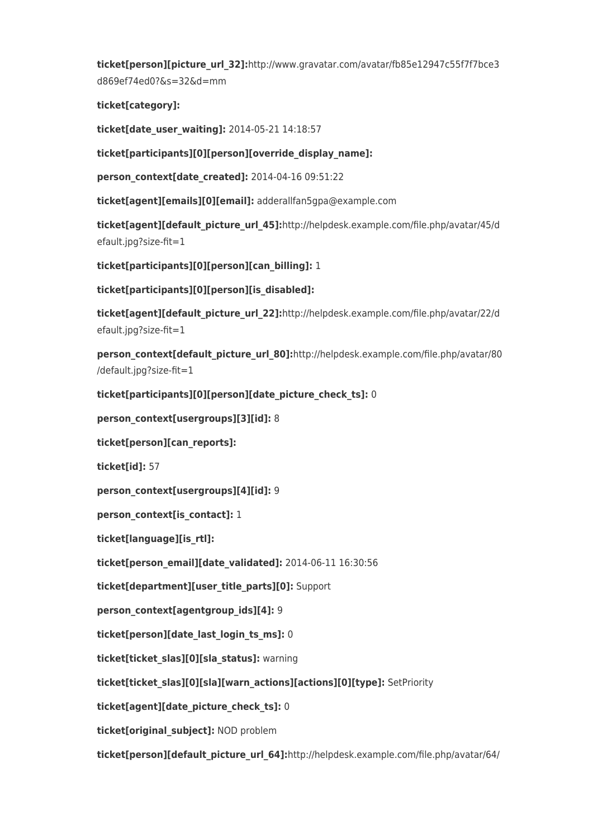**ticket[person][picture\_url\_32]:**http://www.gravatar.com/avatar/fb85e12947c55f7f7bce3 d869ef74ed0?&s=32&d=mm

**ticket[category]:**

**ticket[date\_user\_waiting]:** 2014-05-21 14:18:57

**ticket[participants][0][person][override\_display\_name]:**

**person\_context[date\_created]:** 2014-04-16 09:51:22

**ticket[agent][emails][0][email]:** adderallfan5gpa@example.com

**ticket[agent][default\_picture\_url\_45]:**http://helpdesk.example.com/file.php/avatar/45/d efault.jpg?size-fit=1

**ticket[participants][0][person][can\_billing]:** 1

**ticket[participants][0][person][is\_disabled]:**

**ticket[agent][default\_picture\_url\_22]:**http://helpdesk.example.com/file.php/avatar/22/d efault.jpg?size-fit=1

**person\_context[default\_picture\_url\_80]:**http://helpdesk.example.com/file.php/avatar/80 /default.jpg?size-fit=1

**ticket[participants][0][person][date\_picture\_check\_ts]:** 0

**person\_context[usergroups][3][id]:** 8

**ticket[person][can\_reports]:**

**ticket[id]:** 57

**person\_context[usergroups][4][id]:** 9

**person\_context[is\_contact]:** 1

**ticket[language][is\_rtl]:**

**ticket[person\_email][date\_validated]:** 2014-06-11 16:30:56

**ticket[department][user\_title\_parts][0]:** Support

**person\_context[agentgroup\_ids][4]:** 9

**ticket[person][date\_last\_login\_ts\_ms]:** 0

**ticket[ticket\_slas][0][sla\_status]:** warning

**ticket[ticket\_slas][0][sla][warn\_actions][actions][0][type]:** SetPriority

**ticket[agent][date\_picture\_check\_ts]:** 0

**ticket[original\_subject]:** NOD problem

**ticket[person][default\_picture\_url\_64]:**http://helpdesk.example.com/file.php/avatar/64/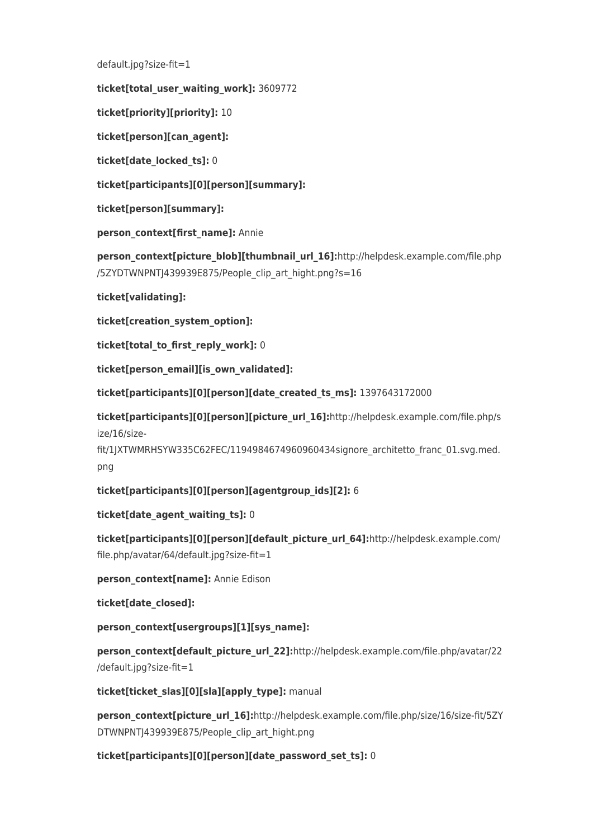default.jpg?size-fit=1

**ticket[total\_user\_waiting\_work]:** 3609772

**ticket[priority][priority]:** 10

**ticket[person][can\_agent]:**

**ticket[date\_locked\_ts]:** 0

**ticket[participants][0][person][summary]:**

**ticket[person][summary]:**

**person\_context[first\_name]:** Annie

**person context[picture blob][thumbnail url 16]:**http://helpdesk.example.com/file.php /5ZYDTWNPNTJ439939E875/People\_clip\_art\_hight.png?s=16

**ticket[validating]:**

**ticket[creation\_system\_option]:**

**ticket[total\_to\_first\_reply\_work]:** 0

**ticket[person\_email][is\_own\_validated]:**

**ticket[participants][0][person][date\_created\_ts\_ms]:** 1397643172000

**ticket[participants][0][person][picture\_url\_16]:**http://helpdesk.example.com/file.php/s ize/16/size-

fit/1JXTWMRHSYW335C62FEC/1194984674960960434signore\_architetto\_franc\_01.svg.med. png

**ticket[participants][0][person][agentgroup\_ids][2]:** 6

**ticket[date\_agent\_waiting\_ts]:** 0

**ticket[participants][0][person][default\_picture\_url\_64]:**http://helpdesk.example.com/ file.php/avatar/64/default.jpg?size-fit=1

**person\_context[name]:** Annie Edison

**ticket[date\_closed]:**

**person\_context[usergroups][1][sys\_name]:**

**person\_context[default\_picture\_url\_22]:**http://helpdesk.example.com/file.php/avatar/22 /default.jpg?size-fit=1

**ticket[ticket\_slas][0][sla][apply\_type]:** manual

**person\_context[picture\_url\_16]:**http://helpdesk.example.com/file.php/size/16/size-fit/5ZY DTWNPNTJ439939E875/People\_clip\_art\_hight.png

**ticket[participants][0][person][date\_password\_set\_ts]:** 0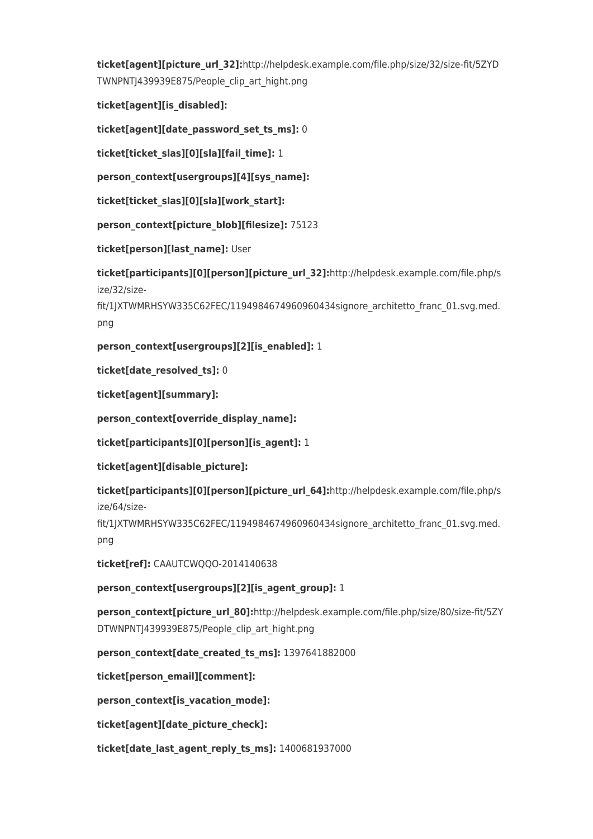**ticket[agent][picture\_url\_32]:**http://helpdesk.example.com/file.php/size/32/size-fit/5ZYD TWNPNTJ439939E875/People\_clip\_art\_hight.png

**ticket[agent][is\_disabled]:**

**ticket[agent][date\_password\_set\_ts\_ms]:** 0

**ticket[ticket\_slas][0][sla][fail\_time]:** 1

**person\_context[usergroups][4][sys\_name]:**

**ticket[ticket\_slas][0][sla][work\_start]:**

**person\_context[picture\_blob][filesize]:** 75123

**ticket[person][last\_name]:** User

**ticket[participants][0][person][picture\_url\_32]:**http://helpdesk.example.com/file.php/s ize/32/size-

fit/1JXTWMRHSYW335C62FEC/1194984674960960434signore\_architetto\_franc\_01.svg.med. png

**person\_context[usergroups][2][is\_enabled]:** 1

**ticket[date\_resolved\_ts]:** 0

**ticket[agent][summary]:**

**person\_context[override\_display\_name]:**

**ticket[participants][0][person][is\_agent]:** 1

**ticket[agent][disable\_picture]:**

**ticket[participants][0][person][picture\_url\_64]:**http://helpdesk.example.com/file.php/s ize/64/size-

fit/1JXTWMRHSYW335C62FEC/1194984674960960434signore\_architetto\_franc\_01.svg.med. png

**ticket[ref]:** CAAUTCWQQO-2014140638

**person\_context[usergroups][2][is\_agent\_group]:** 1

**person\_context[picture\_url\_80]:**http://helpdesk.example.com/file.php/size/80/size-fit/5ZY DTWNPNTJ439939E875/People\_clip\_art\_hight.png

**person\_context[date\_created\_ts\_ms]:** 1397641882000

**ticket[person\_email][comment]:**

**person\_context[is\_vacation\_mode]:**

**ticket[agent][date\_picture\_check]:**

**ticket[date\_last\_agent\_reply\_ts\_ms]:** 1400681937000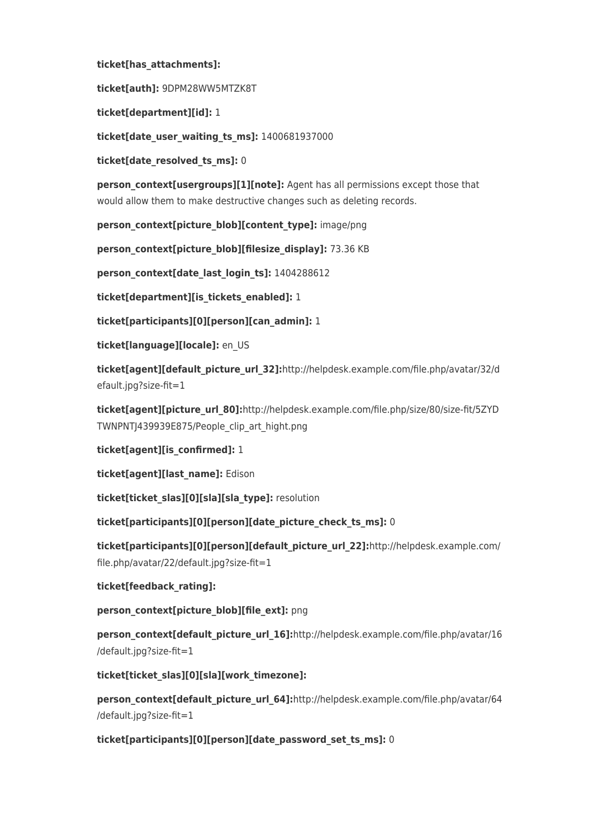## **ticket[has\_attachments]:**

**ticket[auth]:** 9DPM28WW5MTZK8T

**ticket[department][id]:** 1

**ticket[date\_user\_waiting\_ts\_ms]:** 1400681937000

**ticket[date\_resolved\_ts\_ms]:** 0

**person\_context[usergroups][1][note]:** Agent has all permissions except those that would allow them to make destructive changes such as deleting records.

**person\_context[picture\_blob][content\_type]:** image/png

**person\_context[picture\_blob][filesize\_display]:** 73.36 KB

**person\_context[date\_last\_login\_ts]:** 1404288612

**ticket[department][is\_tickets\_enabled]:** 1

**ticket[participants][0][person][can\_admin]:** 1

**ticket[language][locale]:** en\_US

**ticket[agent][default\_picture\_url\_32]:**http://helpdesk.example.com/file.php/avatar/32/d efault.jpg?size-fit=1

**ticket[agent][picture\_url\_80]:**http://helpdesk.example.com/file.php/size/80/size-fit/5ZYD TWNPNTJ439939E875/People\_clip\_art\_hight.png

**ticket[agent][is\_confirmed]:** 1

**ticket[agent][last\_name]:** Edison

**ticket[ticket\_slas][0][sla][sla\_type]:** resolution

**ticket[participants][0][person][date\_picture\_check\_ts\_ms]:** 0

**ticket[participants][0][person][default\_picture\_url\_22]:**http://helpdesk.example.com/ file.php/avatar/22/default.jpg?size-fit=1

**ticket[feedback\_rating]:**

**person\_context[picture\_blob][file\_ext]:** png

**person\_context[default\_picture\_url\_16]:**http://helpdesk.example.com/file.php/avatar/16 /default.jpg?size-fit=1

**ticket[ticket\_slas][0][sla][work\_timezone]:**

person\_context[default\_picture\_url\_64]:http://helpdesk.example.com/file.php/avatar/64 /default.jpg?size-fit=1

**ticket[participants][0][person][date\_password\_set\_ts\_ms]:** 0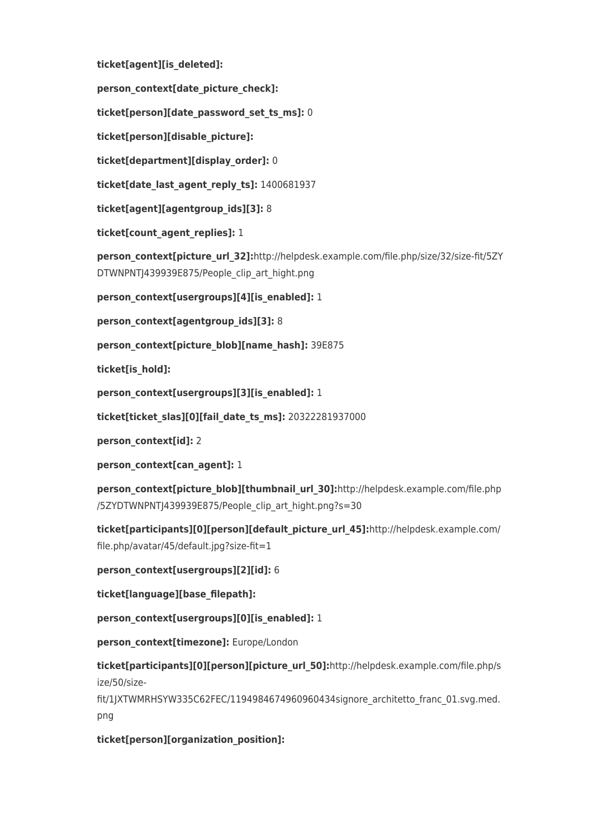**ticket[agent][is\_deleted]:**

**person\_context[date\_picture\_check]:**

**ticket[person][date\_password\_set\_ts\_ms]:** 0

**ticket[person][disable\_picture]:**

**ticket[department][display\_order]:** 0

**ticket[date\_last\_agent\_reply\_ts]:** 1400681937

**ticket[agent][agentgroup\_ids][3]:** 8

**ticket[count\_agent\_replies]:** 1

person\_context[picture\_url\_32]:http://helpdesk.example.com/file.php/size/32/size-fit/5ZY DTWNPNTJ439939E875/People\_clip\_art\_hight.png

**person\_context[usergroups][4][is\_enabled]:** 1

**person\_context[agentgroup\_ids][3]:** 8

**person\_context[picture\_blob][name\_hash]:** 39E875

**ticket[is\_hold]:**

**person\_context[usergroups][3][is\_enabled]:** 1

**ticket[ticket\_slas][0][fail\_date\_ts\_ms]:** 20322281937000

**person\_context[id]:** 2

**person\_context[can\_agent]:** 1

**person\_context[picture\_blob][thumbnail\_url\_30]:**http://helpdesk.example.com/file.php /5ZYDTWNPNTJ439939E875/People\_clip\_art\_hight.png?s=30

**ticket[participants][0][person][default\_picture\_url\_45]:**http://helpdesk.example.com/ file.php/avatar/45/default.jpg?size-fit=1

**person\_context[usergroups][2][id]:** 6

**ticket[language][base\_filepath]:**

**person\_context[usergroups][0][is\_enabled]:** 1

**person\_context[timezone]:** Europe/London

**ticket[participants][0][person][picture\_url\_50]:**http://helpdesk.example.com/file.php/s ize/50/size-

fit/1JXTWMRHSYW335C62FEC/1194984674960960434signore\_architetto\_franc\_01.svg.med. png

**ticket[person][organization\_position]:**